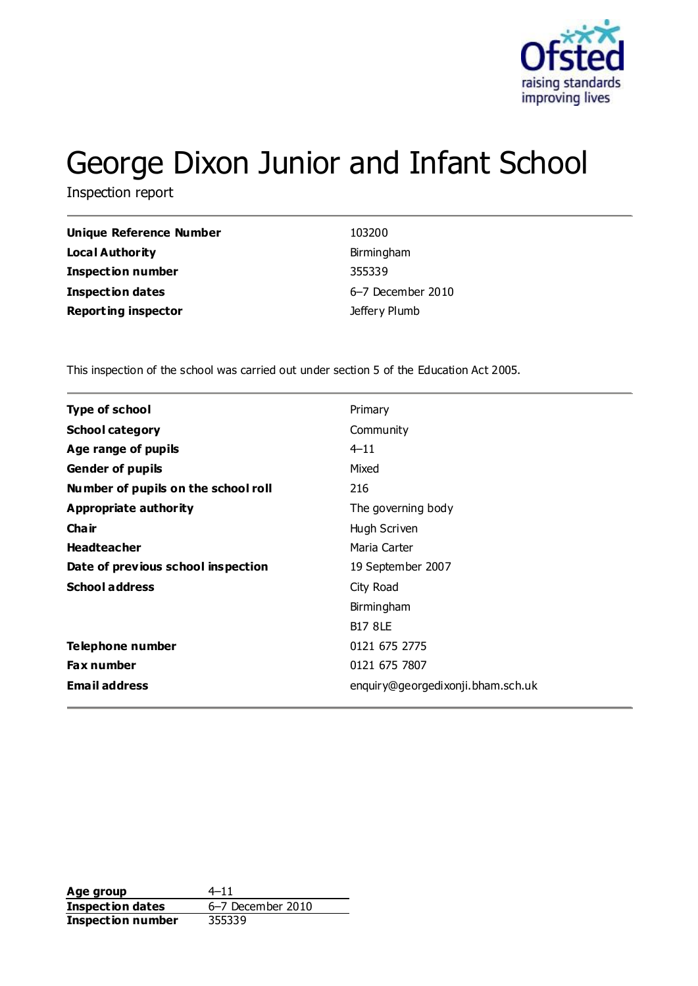

# George Dixon Junior and Infant School

Inspection report

| Unique Reference Number    | 103200              |
|----------------------------|---------------------|
| <b>Local Authority</b>     | Birmingham          |
| Inspection number          | 355339              |
| <b>Inspection dates</b>    | $6-7$ December 2010 |
| <b>Reporting inspector</b> | Jeffery Plumb       |

This inspection of the school was carried out under section 5 of the Education Act 2005.

| <b>Type of school</b>               | Primary                           |
|-------------------------------------|-----------------------------------|
| <b>School category</b>              | Community                         |
| Age range of pupils                 | $4 - 11$                          |
| <b>Gender of pupils</b>             | Mixed                             |
| Number of pupils on the school roll | 216                               |
| Appropriate authority               | The governing body                |
| Cha ir                              | Hugh Scriven                      |
| <b>Headteacher</b>                  | Maria Carter                      |
| Date of previous school inspection  | 19 September 2007                 |
| <b>School address</b>               | City Road                         |
|                                     | Birmingham                        |
|                                     | <b>B17 8LE</b>                    |
| Telephone number                    | 0121 675 2775                     |
| Fax number                          | 0121 675 7807                     |
| <b>Email address</b>                | enquiry@georgedixonji.bham.sch.uk |
|                                     |                                   |

**Age group** 4–11<br> **Inspection dates** 6–7 December 2010 **Inspection dates Inspection number** 355339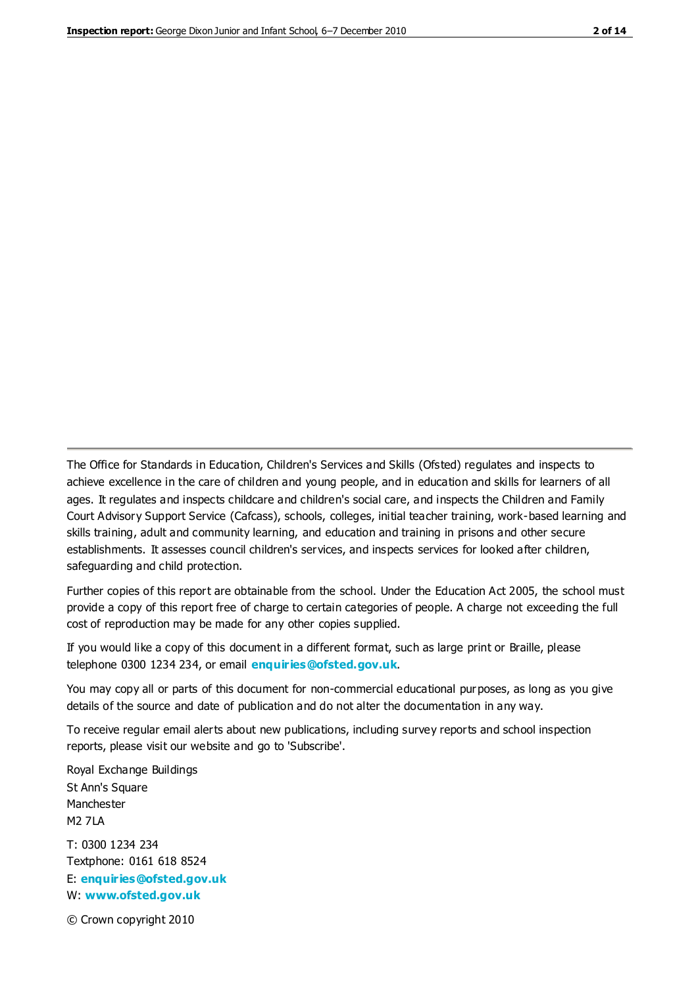The Office for Standards in Education, Children's Services and Skills (Ofsted) regulates and inspects to achieve excellence in the care of children and young people, and in education and skills for learners of all ages. It regulates and inspects childcare and children's social care, and inspects the Children and Family Court Advisory Support Service (Cafcass), schools, colleges, initial teacher training, work-based learning and skills training, adult and community learning, and education and training in prisons and other secure establishments. It assesses council children's services, and inspects services for looked after children, safeguarding and child protection.

Further copies of this report are obtainable from the school. Under the Education Act 2005, the school must provide a copy of this report free of charge to certain categories of people. A charge not exceeding the full cost of reproduction may be made for any other copies supplied.

If you would like a copy of this document in a different format, such as large print or Braille, please telephone 0300 1234 234, or email **[enquiries@ofsted.gov.uk](mailto:enquiries@ofsted.gov.uk)**.

You may copy all or parts of this document for non-commercial educational purposes, as long as you give details of the source and date of publication and do not alter the documentation in any way.

To receive regular email alerts about new publications, including survey reports and school inspection reports, please visit our website and go to 'Subscribe'.

Royal Exchange Buildings St Ann's Square Manchester M2 7LA T: 0300 1234 234 Textphone: 0161 618 8524 E: **[enquiries@ofsted.gov.uk](mailto:enquiries@ofsted.gov.uk)**

W: **[www.ofsted.gov.uk](http://www.ofsted.gov.uk/)**

© Crown copyright 2010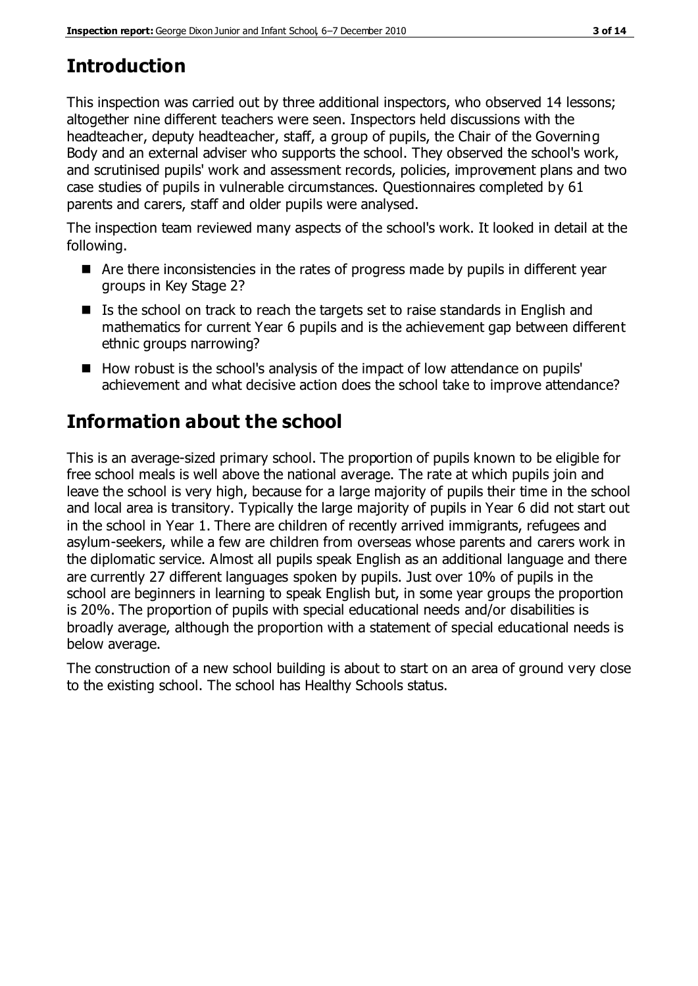# **Introduction**

This inspection was carried out by three additional inspectors, who observed 14 lessons; altogether nine different teachers were seen. Inspectors held discussions with the headteacher, deputy headteacher, staff, a group of pupils, the Chair of the Governing Body and an external adviser who supports the school. They observed the school's work, and scrutinised pupils' work and assessment records, policies, improvement plans and two case studies of pupils in vulnerable circumstances. Questionnaires completed by 61 parents and carers, staff and older pupils were analysed.

The inspection team reviewed many aspects of the school's work. It looked in detail at the following.

- Are there inconsistencies in the rates of progress made by pupils in different year groups in Key Stage 2?
- Is the school on track to reach the targets set to raise standards in English and mathematics for current Year 6 pupils and is the achievement gap between different ethnic groups narrowing?
- How robust is the school's analysis of the impact of low attendance on pupils' achievement and what decisive action does the school take to improve attendance?

# **Information about the school**

This is an average-sized primary school. The proportion of pupils known to be eligible for free school meals is well above the national average. The rate at which pupils join and leave the school is very high, because for a large majority of pupils their time in the school and local area is transitory. Typically the large majority of pupils in Year 6 did not start out in the school in Year 1. There are children of recently arrived immigrants, refugees and asylum-seekers, while a few are children from overseas whose parents and carers work in the diplomatic service. Almost all pupils speak English as an additional language and there are currently 27 different languages spoken by pupils. Just over 10% of pupils in the school are beginners in learning to speak English but, in some year groups the proportion is 20%. The proportion of pupils with special educational needs and/or disabilities is broadly average, although the proportion with a statement of special educational needs is below average.

The construction of a new school building is about to start on an area of ground very close to the existing school. The school has Healthy Schools status.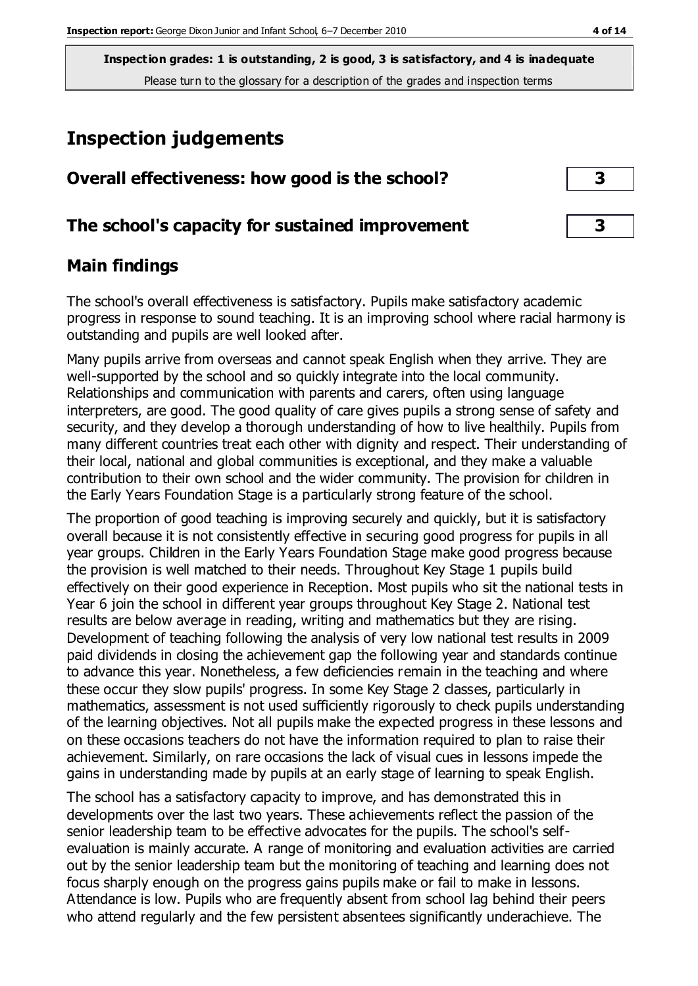# **Inspection judgements**

| Overall effectiveness: how good is the school?  |  |
|-------------------------------------------------|--|
| The school's capacity for sustained improvement |  |

# **Main findings**

The school's overall effectiveness is satisfactory. Pupils make satisfactory academic progress in response to sound teaching. It is an improving school where racial harmony is outstanding and pupils are well looked after.

Many pupils arrive from overseas and cannot speak English when they arrive. They are well-supported by the school and so quickly integrate into the local community. Relationships and communication with parents and carers, often using language interpreters, are good. The good quality of care gives pupils a strong sense of safety and security, and they develop a thorough understanding of how to live healthily. Pupils from many different countries treat each other with dignity and respect. Their understanding of their local, national and global communities is exceptional, and they make a valuable contribution to their own school and the wider community. The provision for children in the Early Years Foundation Stage is a particularly strong feature of the school.

The proportion of good teaching is improving securely and quickly, but it is satisfactory overall because it is not consistently effective in securing good progress for pupils in all year groups. Children in the Early Years Foundation Stage make good progress because the provision is well matched to their needs. Throughout Key Stage 1 pupils build effectively on their good experience in Reception. Most pupils who sit the national tests in Year 6 join the school in different year groups throughout Key Stage 2. National test results are below average in reading, writing and mathematics but they are rising. Development of teaching following the analysis of very low national test results in 2009 paid dividends in closing the achievement gap the following year and standards continue to advance this year. Nonetheless, a few deficiencies remain in the teaching and where these occur they slow pupils' progress. In some Key Stage 2 classes, particularly in mathematics, assessment is not used sufficiently rigorously to check pupils understanding of the learning objectives. Not all pupils make the expected progress in these lessons and on these occasions teachers do not have the information required to plan to raise their achievement. Similarly, on rare occasions the lack of visual cues in lessons impede the gains in understanding made by pupils at an early stage of learning to speak English.

The school has a satisfactory capacity to improve, and has demonstrated this in developments over the last two years. These achievements reflect the passion of the senior leadership team to be effective advocates for the pupils. The school's selfevaluation is mainly accurate. A range of monitoring and evaluation activities are carried out by the senior leadership team but the monitoring of teaching and learning does not focus sharply enough on the progress gains pupils make or fail to make in lessons. Attendance is low. Pupils who are frequently absent from school lag behind their peers who attend regularly and the few persistent absentees significantly underachieve. The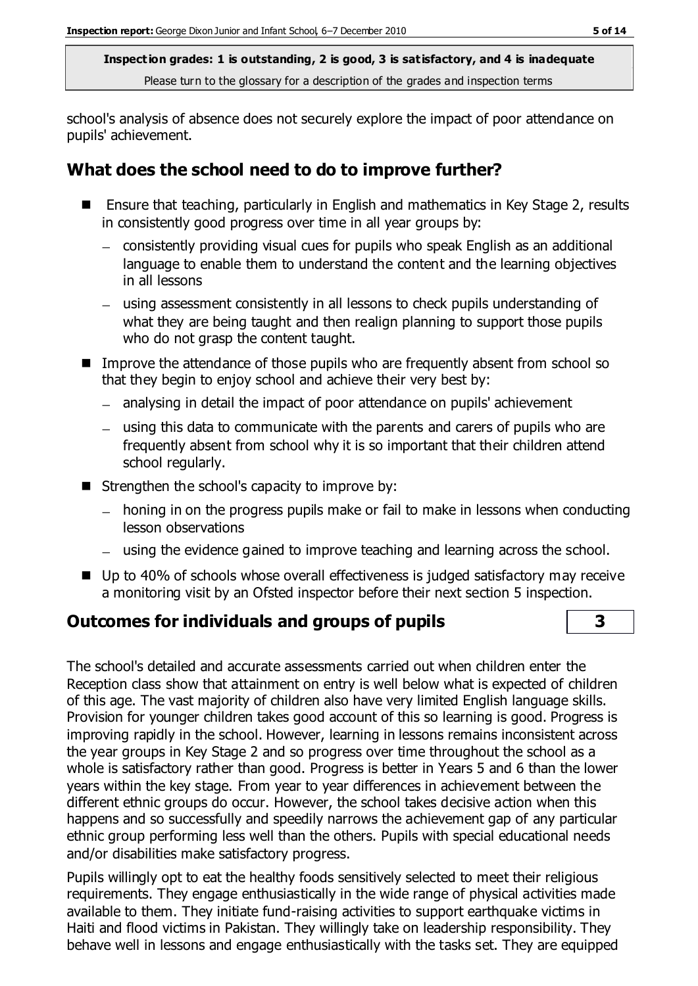school's analysis of absence does not securely explore the impact of poor attendance on pupils' achievement.

# **What does the school need to do to improve further?**

- Ensure that teaching, particularly in English and mathematics in Key Stage 2, results in consistently good progress over time in all year groups by:
	- consistently providing visual cues for pupils who speak English as an additional language to enable them to understand the content and the learning objectives in all lessons
	- using assessment consistently in all lessons to check pupils understanding of what they are being taught and then realign planning to support those pupils who do not grasp the content taught.
- **IMPROVE THE ACTE IMPROVE THE ACTE OF STATE IMAGE CONTROVERY** FOR SCHOOL SO that they begin to enjoy school and achieve their very best by:
	- analysing in detail the impact of poor attendance on pupils' achievement
	- using this data to communicate with the parents and carers of pupils who are frequently absent from school why it is so important that their children attend school regularly.
- $\blacksquare$  Strengthen the school's capacity to improve by:
	- honing in on the progress pupils make or fail to make in lessons when conducting lesson observations
	- using the evidence gained to improve teaching and learning across the school.
- Up to 40% of schools whose overall effectiveness is judged satisfactory may receive a monitoring visit by an Ofsted inspector before their next section 5 inspection.

# **Outcomes for individuals and groups of pupils 3**

The school's detailed and accurate assessments carried out when children enter the Reception class show that attainment on entry is well below what is expected of children of this age. The vast majority of children also have very limited English language skills. Provision for younger children takes good account of this so learning is good. Progress is improving rapidly in the school. However, learning in lessons remains inconsistent across the year groups in Key Stage 2 and so progress over time throughout the school as a whole is satisfactory rather than good. Progress is better in Years 5 and 6 than the lower years within the key stage. From year to year differences in achievement between the different ethnic groups do occur. However, the school takes decisive action when this happens and so successfully and speedily narrows the achievement gap of any particular ethnic group performing less well than the others. Pupils with special educational needs and/or disabilities make satisfactory progress.

Pupils willingly opt to eat the healthy foods sensitively selected to meet their religious requirements. They engage enthusiastically in the wide range of physical activities made available to them. They initiate fund-raising activities to support earthquake victims in Haiti and flood victims in Pakistan. They willingly take on leadership responsibility. They behave well in lessons and engage enthusiastically with the tasks set. They are equipped

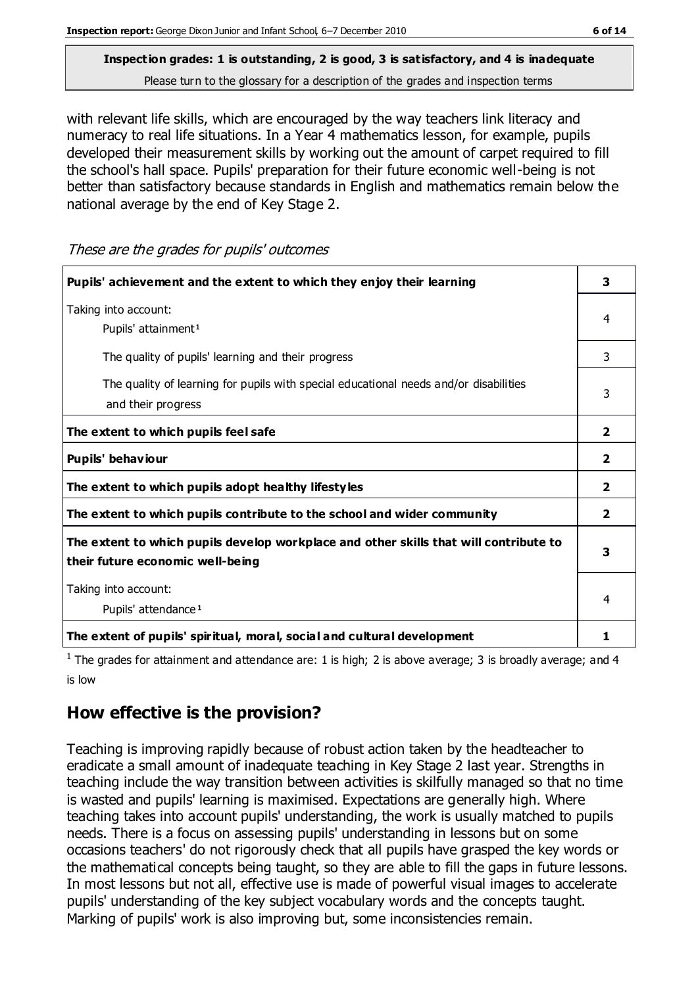with relevant life skills, which are encouraged by the way teachers link literacy and numeracy to real life situations. In a Year 4 mathematics lesson, for example, pupils developed their measurement skills by working out the amount of carpet required to fill the school's hall space. Pupils' preparation for their future economic well-being is not better than satisfactory because standards in English and mathematics remain below the national average by the end of Key Stage 2.

These are the grades for pupils' outcomes

| Pupils' achievement and the extent to which they enjoy their learning                                                     | 3              |
|---------------------------------------------------------------------------------------------------------------------------|----------------|
| Taking into account:<br>Pupils' attainment <sup>1</sup>                                                                   | 4              |
| The quality of pupils' learning and their progress                                                                        | 3              |
| The quality of learning for pupils with special educational needs and/or disabilities<br>and their progress               | 3              |
| The extent to which pupils feel safe                                                                                      | $\overline{2}$ |
| Pupils' behaviour                                                                                                         | 2              |
| The extent to which pupils adopt healthy lifestyles                                                                       | 2              |
| The extent to which pupils contribute to the school and wider community                                                   | $\overline{2}$ |
| The extent to which pupils develop workplace and other skills that will contribute to<br>their future economic well-being |                |
| Taking into account:<br>Pupils' attendance <sup>1</sup>                                                                   |                |
| The extent of pupils' spiritual, moral, social and cultural development                                                   | 1              |

<sup>1</sup> The grades for attainment and attendance are: 1 is high; 2 is above average; 3 is broadly average; and 4 is low

# **How effective is the provision?**

Teaching is improving rapidly because of robust action taken by the headteacher to eradicate a small amount of inadequate teaching in Key Stage 2 last year. Strengths in teaching include the way transition between activities is skilfully managed so that no time is wasted and pupils' learning is maximised. Expectations are generally high. Where teaching takes into account pupils' understanding, the work is usually matched to pupils needs. There is a focus on assessing pupils' understanding in lessons but on some occasions teachers' do not rigorously check that all pupils have grasped the key words or the mathematical concepts being taught, so they are able to fill the gaps in future lessons. In most lessons but not all, effective use is made of powerful visual images to accelerate pupils' understanding of the key subject vocabulary words and the concepts taught. Marking of pupils' work is also improving but, some inconsistencies remain.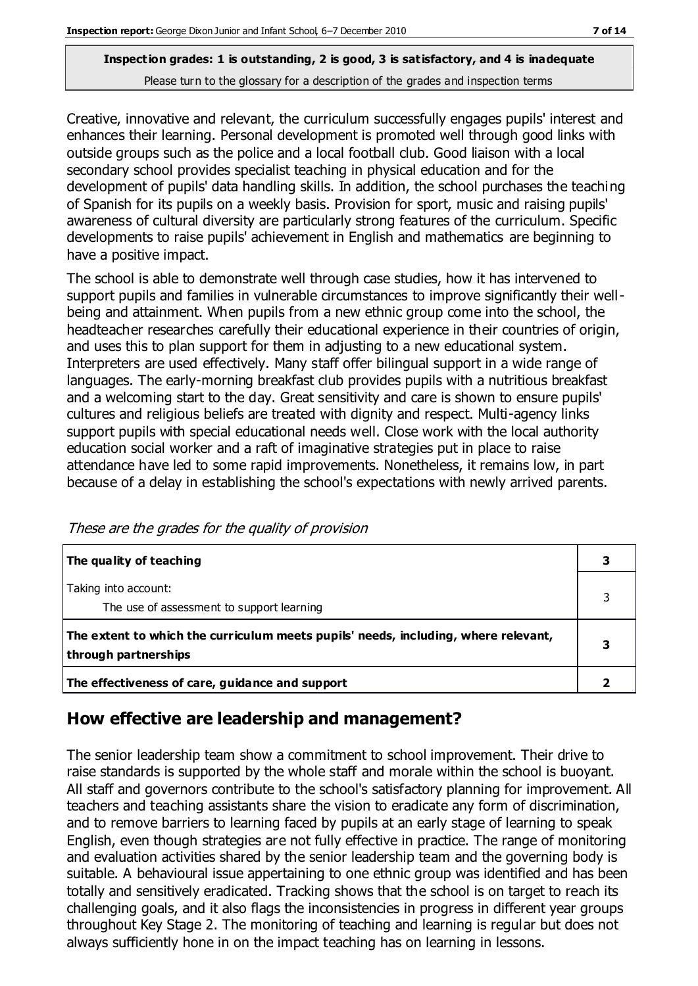Creative, innovative and relevant, the curriculum successfully engages pupils' interest and enhances their learning. Personal development is promoted well through good links with outside groups such as the police and a local football club. Good liaison with a local secondary school provides specialist teaching in physical education and for the development of pupils' data handling skills. In addition, the school purchases the teaching of Spanish for its pupils on a weekly basis. Provision for sport, music and raising pupils' awareness of cultural diversity are particularly strong features of the curriculum. Specific developments to raise pupils' achievement in English and mathematics are beginning to have a positive impact.

The school is able to demonstrate well through case studies, how it has intervened to support pupils and families in vulnerable circumstances to improve significantly their wellbeing and attainment. When pupils from a new ethnic group come into the school, the headteacher researches carefully their educational experience in their countries of origin, and uses this to plan support for them in adjusting to a new educational system. Interpreters are used effectively. Many staff offer bilingual support in a wide range of languages. The early-morning breakfast club provides pupils with a nutritious breakfast and a welcoming start to the day. Great sensitivity and care is shown to ensure pupils' cultures and religious beliefs are treated with dignity and respect. Multi-agency links support pupils with special educational needs well. Close work with the local authority education social worker and a raft of imaginative strategies put in place to raise attendance have led to some rapid improvements. Nonetheless, it remains low, in part because of a delay in establishing the school's expectations with newly arrived parents.

| The quality of teaching                                                                                    |  |
|------------------------------------------------------------------------------------------------------------|--|
| Taking into account:<br>The use of assessment to support learning                                          |  |
| The extent to which the curriculum meets pupils' needs, including, where relevant,<br>through partnerships |  |
| The effectiveness of care, guidance and support                                                            |  |

These are the grades for the quality of provision

### **How effective are leadership and management?**

The senior leadership team show a commitment to school improvement. Their drive to raise standards is supported by the whole staff and morale within the school is buoyant. All staff and governors contribute to the school's satisfactory planning for improvement. All teachers and teaching assistants share the vision to eradicate any form of discrimination, and to remove barriers to learning faced by pupils at an early stage of learning to speak English, even though strategies are not fully effective in practice. The range of monitoring and evaluation activities shared by the senior leadership team and the governing body is suitable. A behavioural issue appertaining to one ethnic group was identified and has been totally and sensitively eradicated. Tracking shows that the school is on target to reach its challenging goals, and it also flags the inconsistencies in progress in different year groups throughout Key Stage 2. The monitoring of teaching and learning is regular but does not always sufficiently hone in on the impact teaching has on learning in lessons.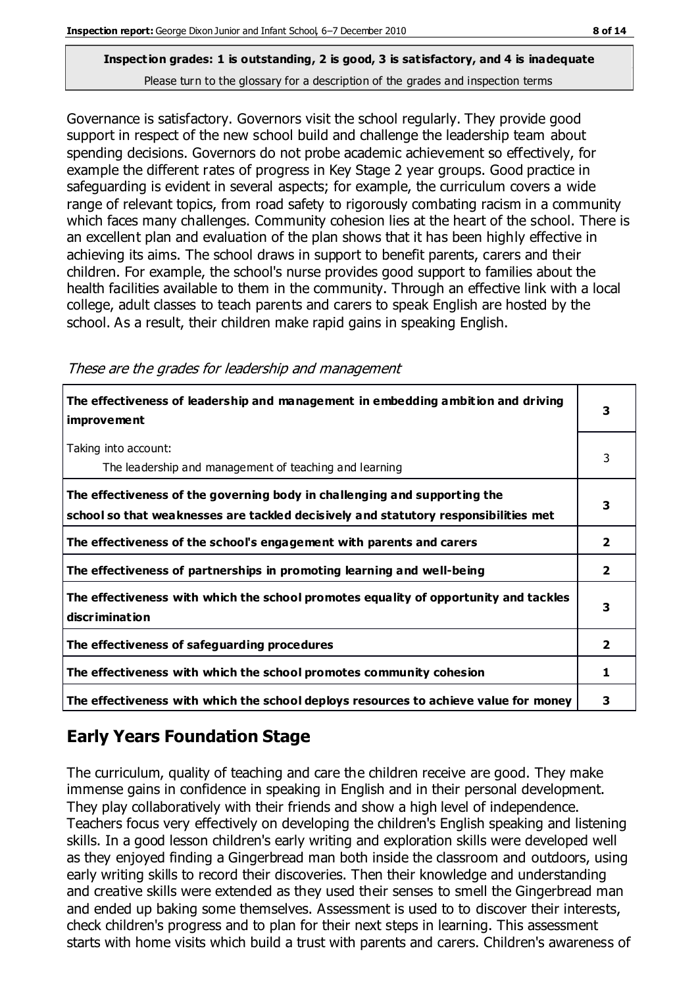Governance is satisfactory. Governors visit the school regularly. They provide good support in respect of the new school build and challenge the leadership team about spending decisions. Governors do not probe academic achievement so effectively, for example the different rates of progress in Key Stage 2 year groups. Good practice in safeguarding is evident in several aspects; for example, the curriculum covers a wide range of relevant topics, from road safety to rigorously combating racism in a community which faces many challenges. Community cohesion lies at the heart of the school. There is an excellent plan and evaluation of the plan shows that it has been highly effective in achieving its aims. The school draws in support to benefit parents, carers and their children. For example, the school's nurse provides good support to families about the health facilities available to them in the community. Through an effective link with a local college, adult classes to teach parents and carers to speak English are hosted by the school. As a result, their children make rapid gains in speaking English.

These are the grades for leadership and management

| The effectiveness of leadership and management in embedding ambition and driving<br>improvement                                                                  |                         |
|------------------------------------------------------------------------------------------------------------------------------------------------------------------|-------------------------|
| Taking into account:<br>The leadership and management of teaching and learning                                                                                   | 3                       |
| The effectiveness of the governing body in challenging and supporting the<br>school so that weaknesses are tackled decisively and statutory responsibilities met | 3                       |
| The effectiveness of the school's engagement with parents and carers                                                                                             | 2                       |
| The effectiveness of partnerships in promoting learning and well-being                                                                                           | 2                       |
| The effectiveness with which the school promotes equality of opportunity and tackles<br>discrimination                                                           | 3                       |
| The effectiveness of safeguarding procedures                                                                                                                     | $\overline{\mathbf{2}}$ |
| The effectiveness with which the school promotes community cohesion                                                                                              | 1                       |
| The effectiveness with which the school deploys resources to achieve value for money                                                                             | 3                       |

# **Early Years Foundation Stage**

The curriculum, quality of teaching and care the children receive are good. They make immense gains in confidence in speaking in English and in their personal development. They play collaboratively with their friends and show a high level of independence. Teachers focus very effectively on developing the children's English speaking and listening skills. In a good lesson children's early writing and exploration skills were developed well as they enjoyed finding a Gingerbread man both inside the classroom and outdoors, using early writing skills to record their discoveries. Then their knowledge and understanding and creative skills were extended as they used their senses to smell the Gingerbread man and ended up baking some themselves. Assessment is used to to discover their interests, check children's progress and to plan for their next steps in learning. This assessment starts with home visits which build a trust with parents and carers. Children's awareness of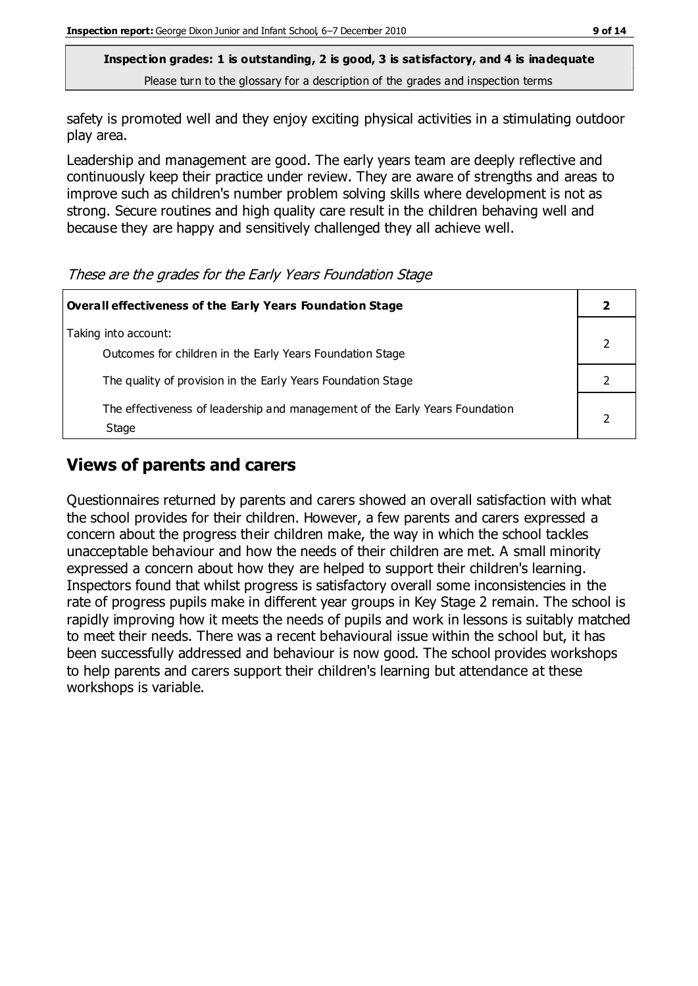safety is promoted well and they enjoy exciting physical activities in a stimulating outdoor play area.

Leadership and management are good. The early years team are deeply reflective and continuously keep their practice under review. They are aware of strengths and areas to improve such as children's number problem solving skills where development is not as strong. Secure routines and high quality care result in the children behaving well and because they are happy and sensitively challenged they all achieve well.

#### These are the grades for the Early Years Foundation Stage

| Overall effectiveness of the Early Years Foundation Stage                             |  |
|---------------------------------------------------------------------------------------|--|
| Taking into account:<br>Outcomes for children in the Early Years Foundation Stage     |  |
| The quality of provision in the Early Years Foundation Stage                          |  |
| The effectiveness of leadership and management of the Early Years Foundation<br>Stage |  |

## **Views of parents and carers**

Questionnaires returned by parents and carers showed an overall satisfaction with what the school provides for their children. However, a few parents and carers expressed a concern about the progress their children make, the way in which the school tackles unacceptable behaviour and how the needs of their children are met. A small minority expressed a concern about how they are helped to support their children's learning. Inspectors found that whilst progress is satisfactory overall some inconsistencies in the rate of progress pupils make in different year groups in Key Stage 2 remain. The school is rapidly improving how it meets the needs of pupils and work in lessons is suitably matched to meet their needs. There was a recent behavioural issue within the school but, it has been successfully addressed and behaviour is now good. The school provides workshops to help parents and carers support their children's learning but attendance at these workshops is variable.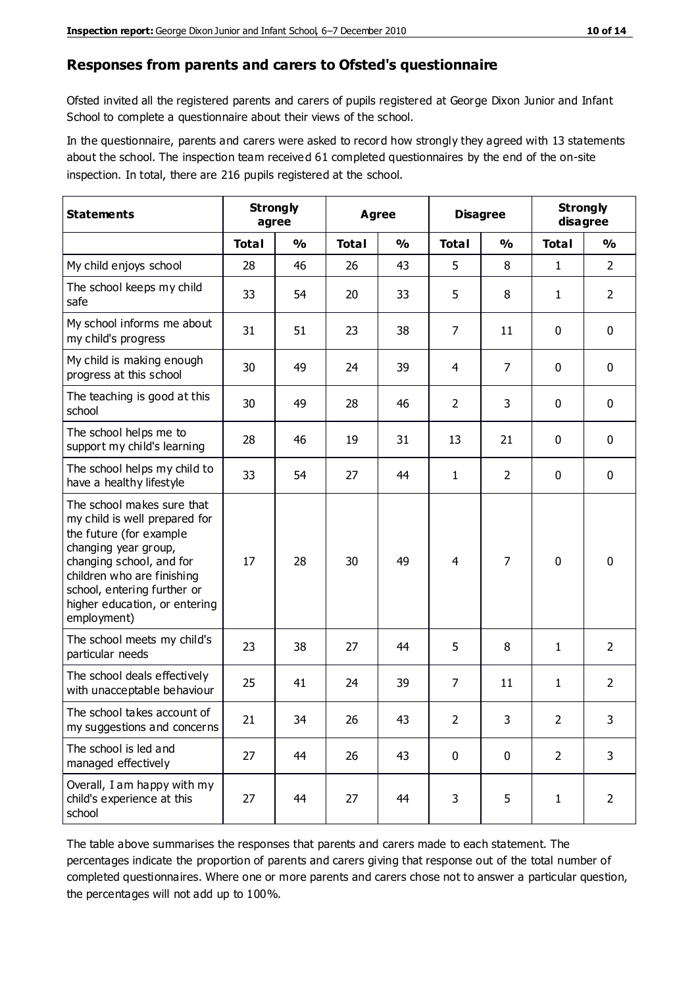#### **Responses from parents and carers to Ofsted's questionnaire**

Ofsted invited all the registered parents and carers of pupils registered at George Dixon Junior and Infant School to complete a questionnaire about their views of the school.

In the questionnaire, parents and carers were asked to record how strongly they agreed with 13 statements about the school. The inspection team receive d 61 completed questionnaires by the end of the on-site inspection. In total, there are 216 pupils registered at the school.

| <b>Statements</b>                                                                                                                                                                                                                                       |              | <b>Strongly</b><br><b>Disagree</b><br>Agree<br>agree |              |               |                |                | <b>Strongly</b><br>disagree |                |
|---------------------------------------------------------------------------------------------------------------------------------------------------------------------------------------------------------------------------------------------------------|--------------|------------------------------------------------------|--------------|---------------|----------------|----------------|-----------------------------|----------------|
|                                                                                                                                                                                                                                                         | <b>Total</b> | $\frac{0}{0}$                                        | <b>Total</b> | $\frac{0}{0}$ | <b>Total</b>   | $\frac{0}{0}$  | <b>Total</b>                | $\frac{1}{2}$  |
| My child enjoys school                                                                                                                                                                                                                                  | 28           | 46                                                   | 26           | 43            | 5              | 8              | $\mathbf{1}$                | $\overline{2}$ |
| The school keeps my child<br>safe                                                                                                                                                                                                                       | 33           | 54                                                   | 20           | 33            | 5              | 8              | 1                           | $\overline{2}$ |
| My school informs me about<br>my child's progress                                                                                                                                                                                                       | 31           | 51                                                   | 23           | 38            | 7              | 11             | $\mathbf 0$                 | $\mathbf 0$    |
| My child is making enough<br>progress at this school                                                                                                                                                                                                    | 30           | 49                                                   | 24           | 39            | 4              | 7              | 0                           | $\mathbf 0$    |
| The teaching is good at this<br>school                                                                                                                                                                                                                  | 30           | 49                                                   | 28           | 46            | $\overline{2}$ | 3              | 0                           | $\mathbf 0$    |
| The school helps me to<br>support my child's learning                                                                                                                                                                                                   | 28           | 46                                                   | 19           | 31            | 13             | 21             | $\mathbf 0$                 | $\mathbf 0$    |
| The school helps my child to<br>have a healthy lifestyle                                                                                                                                                                                                | 33           | 54                                                   | 27           | 44            | $\mathbf{1}$   | $\overline{2}$ | $\mathbf 0$                 | $\mathbf 0$    |
| The school makes sure that<br>my child is well prepared for<br>the future (for example<br>changing year group,<br>changing school, and for<br>children who are finishing<br>school, entering further or<br>higher education, or entering<br>employment) | 17           | 28                                                   | 30           | 49            | $\overline{4}$ | $\overline{7}$ | $\mathbf 0$                 | $\mathbf 0$    |
| The school meets my child's<br>particular needs                                                                                                                                                                                                         | 23           | 38                                                   | 27           | 44            | 5              | 8              | $\mathbf{1}$                | $\overline{2}$ |
| The school deals effectively<br>with unacceptable behaviour                                                                                                                                                                                             | 25           | 41                                                   | 24           | 39            | 7              | 11             | 1                           | $\overline{2}$ |
| The school takes account of<br>my suggestions and concerns                                                                                                                                                                                              | 21           | 34                                                   | 26           | 43            | $\overline{2}$ | 3              | $\overline{2}$              | 3              |
| The school is led and<br>managed effectively                                                                                                                                                                                                            | 27           | 44                                                   | 26           | 43            | $\pmb{0}$      | $\mathbf 0$    | $\overline{2}$              | 3              |
| Overall, I am happy with my<br>child's experience at this<br>school                                                                                                                                                                                     | 27           | 44                                                   | 27           | 44            | 3              | 5              | $\mathbf{1}$                | $\overline{2}$ |

The table above summarises the responses that parents and carers made to each statement. The percentages indicate the proportion of parents and carers giving that response out of the total number of completed questionnaires. Where one or more parents and carers chose not to answer a particular question, the percentages will not add up to 100%.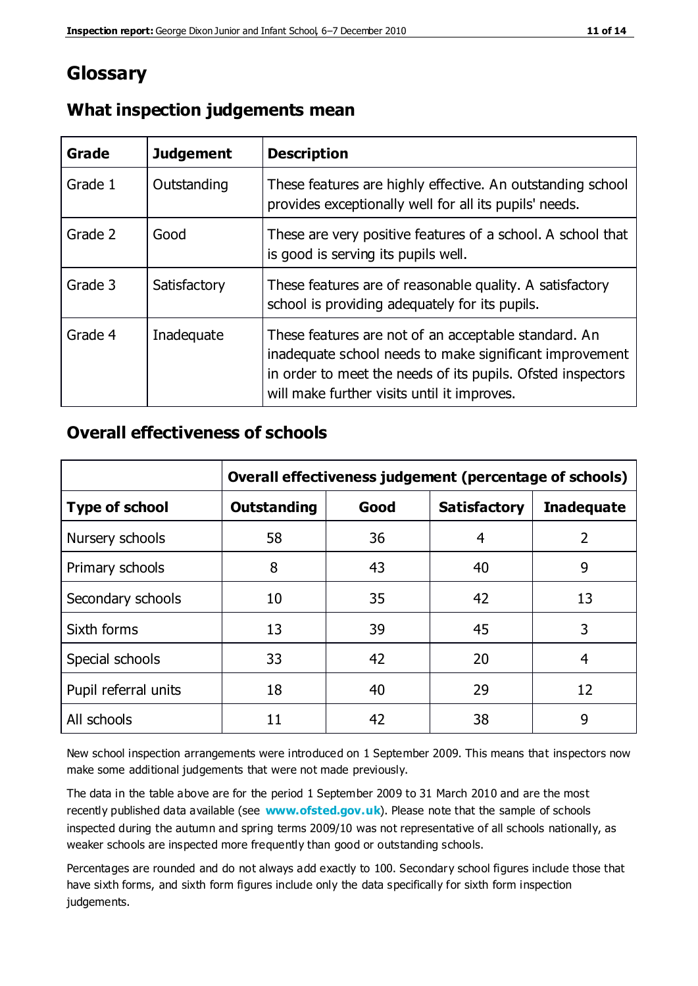# **Glossary**

| Grade   | <b>Judgement</b> | <b>Description</b>                                                                                                                                                                                                            |
|---------|------------------|-------------------------------------------------------------------------------------------------------------------------------------------------------------------------------------------------------------------------------|
| Grade 1 | Outstanding      | These features are highly effective. An outstanding school<br>provides exceptionally well for all its pupils' needs.                                                                                                          |
| Grade 2 | Good             | These are very positive features of a school. A school that<br>is good is serving its pupils well.                                                                                                                            |
| Grade 3 | Satisfactory     | These features are of reasonable quality. A satisfactory<br>school is providing adequately for its pupils.                                                                                                                    |
| Grade 4 | Inadequate       | These features are not of an acceptable standard. An<br>inadequate school needs to make significant improvement<br>in order to meet the needs of its pupils. Ofsted inspectors<br>will make further visits until it improves. |

## **What inspection judgements mean**

## **Overall effectiveness of schools**

|                       | Overall effectiveness judgement (percentage of schools) |      |                     |                   |
|-----------------------|---------------------------------------------------------|------|---------------------|-------------------|
| <b>Type of school</b> | <b>Outstanding</b>                                      | Good | <b>Satisfactory</b> | <b>Inadequate</b> |
| Nursery schools       | 58                                                      | 36   | 4                   | 2                 |
| Primary schools       | 8                                                       | 43   | 40                  | 9                 |
| Secondary schools     | 10                                                      | 35   | 42                  | 13                |
| Sixth forms           | 13                                                      | 39   | 45                  | 3                 |
| Special schools       | 33                                                      | 42   | 20                  | 4                 |
| Pupil referral units  | 18                                                      | 40   | 29                  | 12                |
| All schools           | 11                                                      | 42   | 38                  | 9                 |

New school inspection arrangements were introduced on 1 September 2009. This means that inspectors now make some additional judgements that were not made previously.

The data in the table above are for the period 1 September 2009 to 31 March 2010 and are the most recently published data available (see **[www.ofsted.gov.uk](http://www.ofsted.gov.uk/)**). Please note that the sample of schools inspected during the autumn and spring terms 2009/10 was not representative of all schools nationally, as weaker schools are inspected more frequently than good or outstanding schools.

Percentages are rounded and do not always add exactly to 100. Secondary school figures include those that have sixth forms, and sixth form figures include only the data specifically for sixth form inspection judgements.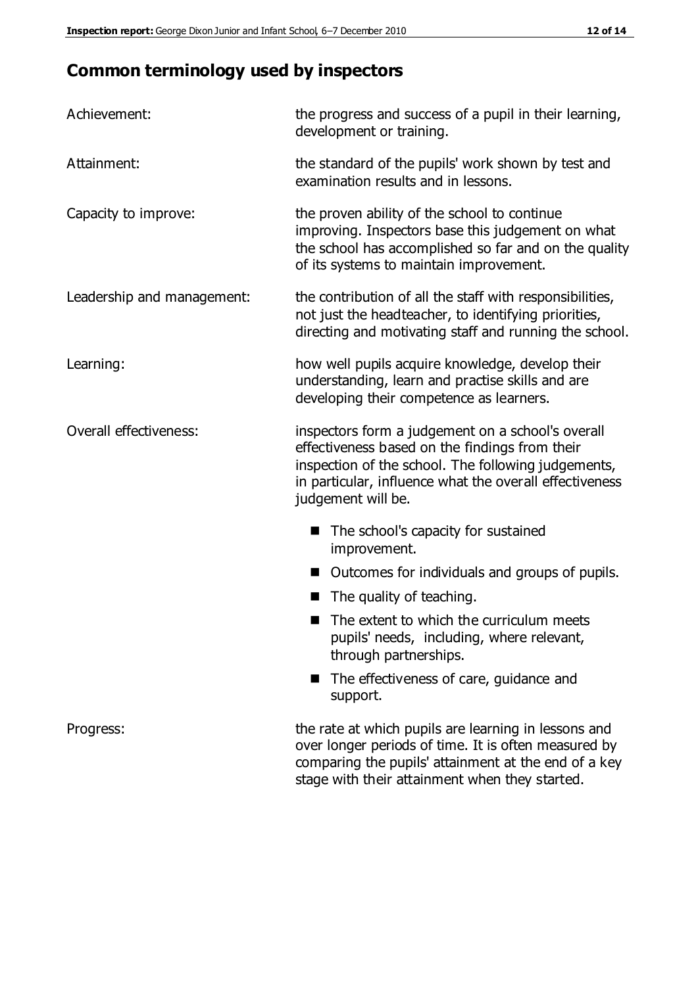# **Common terminology used by inspectors**

| Achievement:               | the progress and success of a pupil in their learning,<br>development or training.                                                                                                                                                          |  |  |
|----------------------------|---------------------------------------------------------------------------------------------------------------------------------------------------------------------------------------------------------------------------------------------|--|--|
| Attainment:                | the standard of the pupils' work shown by test and<br>examination results and in lessons.                                                                                                                                                   |  |  |
| Capacity to improve:       | the proven ability of the school to continue<br>improving. Inspectors base this judgement on what<br>the school has accomplished so far and on the quality<br>of its systems to maintain improvement.                                       |  |  |
| Leadership and management: | the contribution of all the staff with responsibilities,<br>not just the headteacher, to identifying priorities,<br>directing and motivating staff and running the school.                                                                  |  |  |
| Learning:                  | how well pupils acquire knowledge, develop their<br>understanding, learn and practise skills and are<br>developing their competence as learners.                                                                                            |  |  |
| Overall effectiveness:     | inspectors form a judgement on a school's overall<br>effectiveness based on the findings from their<br>inspection of the school. The following judgements,<br>in particular, influence what the overall effectiveness<br>judgement will be. |  |  |
|                            | The school's capacity for sustained<br>improvement.                                                                                                                                                                                         |  |  |
|                            | Outcomes for individuals and groups of pupils.                                                                                                                                                                                              |  |  |
|                            | The quality of teaching.                                                                                                                                                                                                                    |  |  |
|                            | The extent to which the curriculum meets<br>pupils' needs, including, where relevant,<br>through partnerships.                                                                                                                              |  |  |
|                            | The effectiveness of care, guidance and<br>support.                                                                                                                                                                                         |  |  |
| Progress:                  | the rate at which pupils are learning in lessons and<br>over longer periods of time. It is often measured by<br>comparing the pupils' attainment at the end of a key                                                                        |  |  |

stage with their attainment when they started.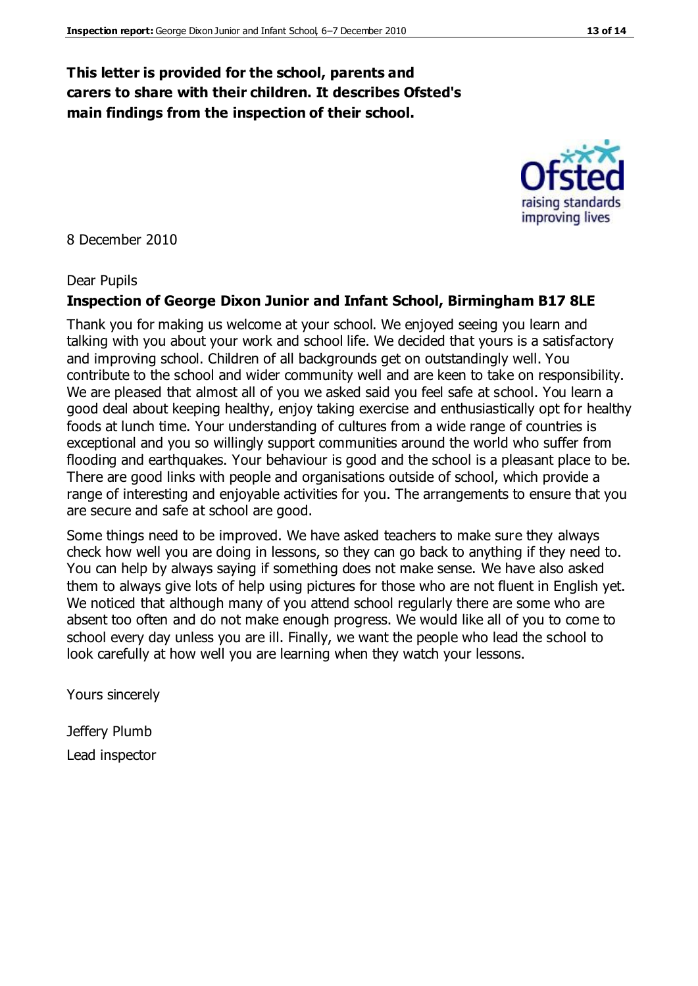### **This letter is provided for the school, parents and carers to share with their children. It describes Ofsted's main findings from the inspection of their school.**

#### 8 December 2010

#### Dear Pupils

#### **Inspection of George Dixon Junior and Infant School, Birmingham B17 8LE**

Thank you for making us welcome at your school. We enjoyed seeing you learn and talking with you about your work and school life. We decided that yours is a satisfactory and improving school. Children of all backgrounds get on outstandingly well. You contribute to the school and wider community well and are keen to take on responsibility. We are pleased that almost all of you we asked said you feel safe at school. You learn a good deal about keeping healthy, enjoy taking exercise and enthusiastically opt for healthy foods at lunch time. Your understanding of cultures from a wide range of countries is exceptional and you so willingly support communities around the world who suffer from flooding and earthquakes. Your behaviour is good and the school is a pleasant place to be. There are good links with people and organisations outside of school, which provide a range of interesting and enjoyable activities for you. The arrangements to ensure that you are secure and safe at school are good.

Some things need to be improved. We have asked teachers to make sure they always check how well you are doing in lessons, so they can go back to anything if they need to. You can help by always saying if something does not make sense. We have also asked them to always give lots of help using pictures for those who are not fluent in English yet. We noticed that although many of you attend school regularly there are some who are absent too often and do not make enough progress. We would like all of you to come to school every day unless you are ill. Finally, we want the people who lead the school to look carefully at how well you are learning when they watch your lessons.

Yours sincerely

Jeffery Plumb Lead inspector